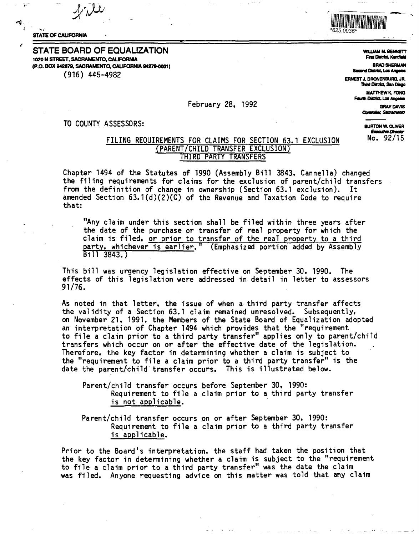

#### **STATE OF CALIFORNIA**

#### **STATE BOARD OF EQUALIZATION** 1020 N STREET, SACRAMENTO, CALIFORNIA (P.O. BOX 942879, SACRAMENTO, CALIFORNIA 94279-0001)  $(916)$  445-4982

#### February 28. 1992

#### TO COUNTY ASSESSORS:

**WILLIAM M. BENNETT Flest District, Kentfleid** 

**BRAD SHERMAN Second District, Los Angeles** 

**ERNEST J. DRONENBURG, JR.** Third District, San Diego

> MATTHEW K FONG Fourth District, Los Angeles

> > **GRAY DAVIS** Controller, Sacramento

**BURTON W. OLIVER Executive Director** No. 92/15

## FILING REQUIREMENTS FOR CLAIMS FOR SECTION 63.1 EXCLUSION (PARENT/CHILD TRANSFER EXCLUSION) THIRD PARTY TRANSFERS

Chapter 1494 of the Statutes of 1990 (Assembly Bill 3843, Cannella) changed the filing requirements for claims for the exclusion of parent/child transfers from the definition of change in ownership (Section 63.1 exclusion). It amended Section  $63.1(d)(2)(\tilde{C})$  of the Revenue and Taxation Code to require that:

"Any claim under this section shall be filed within three years after the date of the purchase or transfer of real property for which the claim is filed, or prior to transfer of the real property to a third party, whichever is earlier." (Emphasized portion added by Assembly Bill 3843.)

This bill was urgency legislation effective on September 30, 1990. The effects of this legislation were addressed in detail in letter to assessors  $91/76.$ 

As noted in that letter, the issue of when a third party transfer affects the validity of a Section 63.1 claim remained unresolved. Subsequently, on November 21, 1991, the Members of the State Board of Equalization adopted an interpretation of Chapter 1494 which provides that the "requirement<br>to file a claim prior to a third party transfer" applies only to parent/child transfers which occur on or after the effective date of the legislation. Therefore, the key factor in determining whether a claim is subject to the "requirement to file a claim prior to a third party transfer" is the date the parent/child transfer occurs. This is illustrated below.

Parent/child transfer occurs before September 30, 1990: Requirement to file a claim prior to a third party transfer is not applicable.

Parent/child transfer occurs on or after September 30, 1990: Requirement to file a claim prior to a third party transfer is applicable.

Prior to the Board's interpretation, the staff had taken the position that the key factor in determining whether a claim is subject to the "requirement to file a claim prior to a third party transfer" was the date the claim was filed. Anyone requesting advice on this matter was told that any claim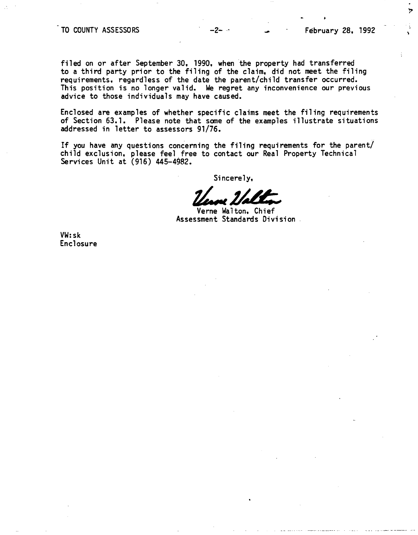## $\overline{10}$  COUNTY ASSESSORS  $-2$ -  $\overline{2}$   $-2$   $\overline{2}$  February 28, 1992

 $\overline{P}$ 

filed on or after September 30, 1990, when the property had transferred to a third party prior to the filing of the claim, did not meet the filing requirements, regardless of the date the parent/child transfer occurred. This position is no longer valid. We regret any inconvenience our previous advice to those individuals may have caused.

Enclosed are examples of whether specific claims meet the filing requirements of Section 63.1. Please note that sane of the examples illustrate situations addressed in letter to assessors 91/76.

If you have any questions concerning the filing requirements for the parent/ child exclusion, please feel free to contact our Real Property Technical Services Unit at (916) 445-4982.

Sincerely,

Sincerely,<br>*Lease Labon,* Chief

Assessment Standards Division

VW:sk Enclosure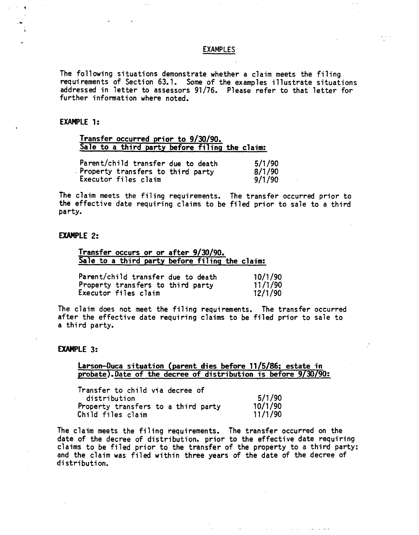#### EXAMPLES

The following situations demonstrate whether a claim meets the filing requirements of Section 63.1. Some of the examples illustrate situations addressed in letter to assessors 91 /76. Please refer to that letter for further information where noted.

#### **EXAMPLE 1:**

# **Transfer occurred prior to 9/30/90. Sale to a third party before filing the claim:**

| Parent/child transfer due to death | 5/1/90 |
|------------------------------------|--------|
| Property transfers to third party  | 8/1/90 |
| Executor files claim               | 9/1/90 |

The claim meets the filing requirements. The transfer occurred prior to the effective date requiring claims. to be filed prior to sale to a third party.

#### **EXAMPLE 2:**

**Transfer occurs or or after 9/30/90. Sale to a third party before filing the claim:** 

| Parent/child transfer due to death | 10/1/90 |
|------------------------------------|---------|
| Property transfers to third party  | 11/1/90 |
| Executor files claim               | 12/1/90 |

The claim does not meet the filing requirements. The transfer occurred after the effective date requiring claims to be filed prior to sale to a third party.

#### EXAMPLE 3:

### **Larson-Duca situation (parent dies before 11/5/86; estate in** probate). Date of the decree of distribution is before  $9/30/90$ :

Transfer to child via decree of distribution 5/1/90<br>operty transfers to a third party 10/1/90 Property transfers to a third party 10/1/90<br>Child files claim 11/1/90 Child files claim

The claim meets the filing requirements. The transfer occurred on the date of the decree of distribution, prior to the effective date requiring claims to be filed prior to the transfer of the property to a third party; and the claim was filed within three years of the date of the decree of distribution.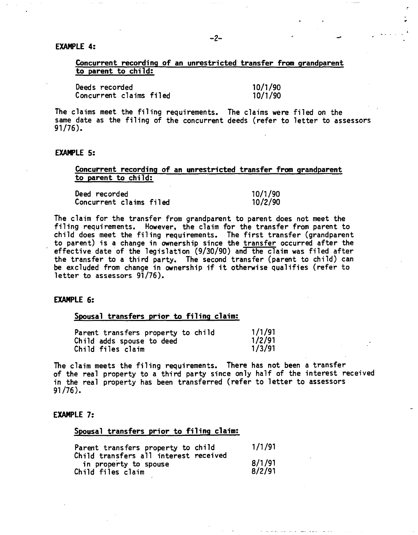## **EXAMPLE 4:**

## **Concurrent recording of an unrestricted transfer from grandparent to parent to child:**

Deeds recorded 10/1/90 Concurrent claims filed

.,

The claims meet the filing requirements. The claims were filed on the same date as the filing of the concurrent deeds (refer to letter to assessors 91/76).

#### **EXAMPLE 5:**

### Concurrent recording of an unrestricted transfer from grandparent **to parent** to child:

| Deed recorded           | 10/1/90 |
|-------------------------|---------|
| Concurrent claims filed | 10/2/90 |

The claim for the transfer from grandparent to parent does not meet the filing requirements. However, the claim for the transfer from parent to child does meet the filing requirements. The first transfer (grandparent to parent) is a change in ownership since the transfer occurred after the effective date of the legislation (9/30/90) and the claim was filed after the transfer to a third party. The second transfer (parent to child) can be excluded from change in ownership if it otherwise qualifies (refer to letter to assessors 91/76).

## **EXAMPLE 6:**

#### **Spousal transfers prior to filing claim:**

| Parent transfers property to child | 1/1/91 |
|------------------------------------|--------|
| Child adds spouse to deed          | 1/2/91 |
| Child files claim                  | 1/3/91 |

The claim meets the filing requirements. There has not been a transfer of the real property to a third party since only half of the interest received in the real property has been transferred (refer to letter to assessors 91 /76).

#### **EXAMPLE** 7:

#### **Spousal transfers prior to filing claim:**

| Parent transfers property to child                                                  | 1/1/91           |
|-------------------------------------------------------------------------------------|------------------|
| Child transfers all interest received<br>in property to spouse<br>Child files claim | 8/1/91<br>8/2/91 |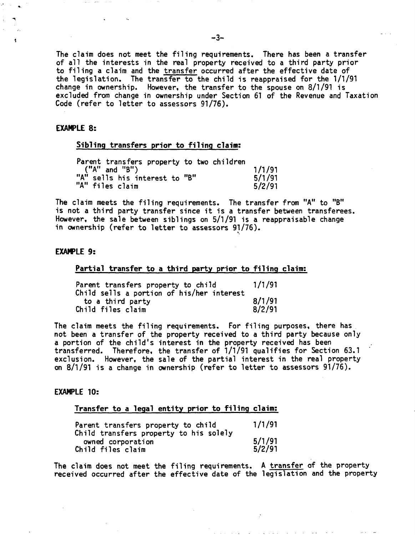The claim does not meet the filing requirements. There has been a transfer of all the interests in the real property received to a third party prior to filing a claim and the transfer occurred after the effective date of the legislation. The transfer to the child is reappraised for the 1/1/91 change in ownership. However, the transfer to the spouse on 8/1/91 is excluded from change in ownership under Section 61 of the Revenue and Taxation Code (refer to letter to assessors 91/76).

### **EXAMPLE 8:**

#### **Sibling transfers prior to filing claim:**

|  |                   | Parent transfers property to two children |  |        |
|--|-------------------|-------------------------------------------|--|--------|
|  | $("A"$ and $"B")$ |                                           |  | 1/1/91 |
|  |                   | "A" sells his interest to "B"             |  | 5/1/91 |
|  | "A" files claim   |                                           |  | 5/2/91 |

The claim meets the filing requirements. The transfer from "A" to "B" is not a third party transfer since it is a transfer between transferees. However, the sale between siblings on 5/1/91 is a reappraisable change in ownership (refer to letter to assessors 91/76).

### **EXAMPLE 9:**

### **Partial transfer to a third party prior to filing claim:**

| Parent transfers property to child                                                 |                  |
|------------------------------------------------------------------------------------|------------------|
| Child sells a portion of his/her interest<br>to a third party<br>Child files claim | 8/1/91<br>8/2/91 |

The claim meets the filing requirements. For filing purposes, there has not been a transfer of the property received to a third party because only a portion of the child's interest in the property received has been transferred. Therefore, the transfer of 1/1/91 qualifies for Section 63.1 exclusion. However, the sale of the partial interest in the real property on 8/1/91 is a change in ownership (refer to letter to assessors 91/76).

#### **EXAMPLE 10:**

#### **Transfer to a legal entity prior to filing claim:**

| Parent transfers property to child                                               | 1/1/91           |
|----------------------------------------------------------------------------------|------------------|
| Child transfers property to his solely<br>owned corporation<br>Child files claim | 5/1/91<br>5/2/91 |

The claim does not meet the filing requirements. A transfer of the property received occurred after the effective date of the legislation and the property

الرجعان فالعالم المتسعان والمناصر الوبعا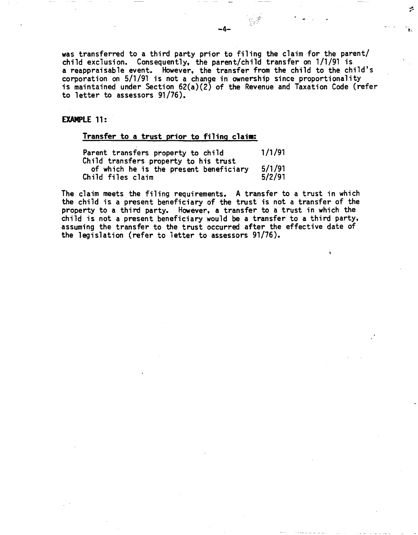was transferred to a third party prior to filing the claim for the parent/ child exclusion. Consequently, the parent/child transfer on 1/1/91 is a reappraisable event. However, the transfer from the child to the child's corporation on 5/1/91 is not a change in ownership since proportionality is maintained under Section 62(a)(2) of the Revenue and Taxation Code (refer to letter to assessors 91/76).

## **EXAMPLE 11:**

## **Transfer to a trust prior to filing claim:**

Parent transfers property to child 1/1/91 Child transfers property to his trust of which he is the present beneficiary 5/1/91 Child files claim

The claim meets the filing requirements. A transfer to a trust in which the child is a present beneficiary of the trust is not a transfer of the property to a third party. However, a transfer to a trust in which the child is not a present beneficiary would **be a** transfer to a third party, assuming the transfer to the trust occurred after the effective date of the legislation (refer to letter to assessors 91/76).

÷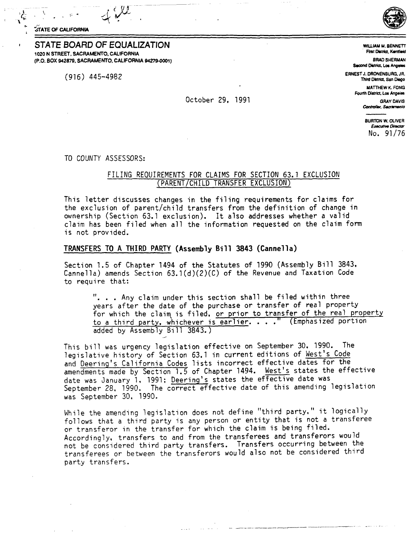**STATE OF CALIFORNIA** 

STATE BOARD OF EQUALIZATION 1020 N STREET, SACRAMENTO, CALIFORNIA (P.O. BOX 942879, SACRAMENTO, CALIFORNIA 94279-0001)

 $(916)$  445-4982

#### October 29. 1991

WILLIAM M. RENNETT First District, Kentfleid

**BRAD SHERMAN** Second District, Los Angeles

ERNEST J. DRONENBURG, JR. Third District, San Diego

> **MATTHEW K. FONG** Fourth District, Los Angeles **GRAY DAVIS**

> > Controller, Sacramento

**BURTON W. OLIVER Executive Director** No. 91/76

TO COUNTY ASSESSORS:

## FILING REQUIREMENTS FOR CLAIMS FOR SECTION 63.1 EXCLUSION (PARENT/CHILD TRANSFER EXCLUSION)

This letter discusses changes in the filing requirements for claims for the exclusion of parent/child transfers from the definition of change in ownership (Section 63.1 exclusion). It also addresses whether a valid claim has been filed when all the information requested on the claim form is not provided.

### TRANSFERS TO A THIRD PARTY (Assembly Bill 3843 (Cannella)

Section 1.5 of Chapter 1494 of the Statutes of 1990 (Assembly Bill 3843. Cannella) amends Section  $63.1(d)(2)(C)$  of the Revenue and Taxation Code to require that:

". . . Any claim under this section shall be filed within three years after the date of the purchase or transfer of real property for which the claim is filed, or prior to transfer of the real property to a third party, whichever is earlier. . . . " (Emphasized portion added by Assembly Bill 3843.)

This bill was urgency legislation effective on September 30. 1990. The legislative history of Section 63.1 in current editions of West's Code and Deering's California Codes lists incorrect effective dates for the amendments made by Section 1.5 of Chapter 1494. West's states the effective date was January 1, 1991; Deering's states the effective date was September 28, 1990. The correct effective date of this amending legislation was September 30, 1990.

While the amending legislation does not define "third party." it logically follows that a third party is any person or entity that is not a transferee or transferor in the transfer for which the claim is being filed. Accordingly, transfers to and from the transferees and transferors would not be considered third party transfers. Transfers occurring between the transferees or between the transferors would also not be considered third party transfers.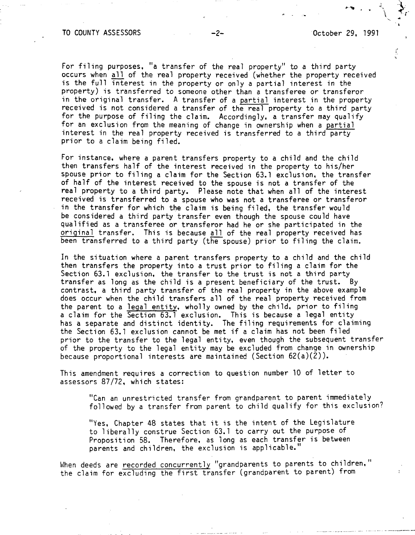$\mathcal{L} \rightarrow \mathcal{L}$ 

.,

 $\blacktriangleright$  . . *(*  ..

ť

For filing purposes, "a transfer of the real property" to a third party occurs when all of the real property received (whether the property received is the full interest in the property or only a partial interest in the property) is transferred to someone other than a transferee or transferor in the original transfer. A transfer of a partial interest in the property received is not considered a transfer of the real property to a third party for the purpose of filing the claim. Accordingly, a transfer may qualify for an exclusion from the meaning of change in ownership when a partial interest in the real property received is transferred to a third party prior to a claim being filed.

For instance, where a parent transfers property to a child and the child then transfers half of the interest received in the property to his/her spouse prior to filing a claim for the Section 63.1 exclusion, the transfer of half of the interest received to the spouse is not a transfer of the real property to a third party. Please note that when all of the interest received is transferred to a spouse who was not a transferee or transferor in the transfer for which the claim is being filed, the transfer would be considered a third party transfer even though the spouse could have qualified as a transferee or transferor had he or she participated in the original transfer. This is because all of the real property received has been transferred to a third party (the spouse) prior to filing the claim.

In the situation where a parent transfers property to a child and the child then transfers the property into a trust prior to filing a claim for the Section 63.1 exclusion, the transfer to the trust is not a third party transfer as long as the child is a present beneficiary of the trust. By contrast, a third party transfer of the real property in the above example does occur when the child transfers all of the real property received from the parent to a legal entity, wholly owned by the child, prior to filing a claim for the Section 63.1 exclusion. This is because a legal entity has a separate and distinct identity. The filing requirements for claiming the Section 63. 1 exclusion cannot be met if a claim has not been filed prior to the transfer to the legal entity, even though the subsequent transfer of the property to the legal entity may be excluded from change in ownership because proportional interests are maintained (Section  $62(a)(2)$ ).

This amendment requires a correction to question number 10 of letter to assessors 87/72, which states:

"Can an unrestricted transfer from grandparent to parent immediately followed by a transfer from parent to child qualify for this exclusion?

"Yes, Chapter 48 states that it is the intent of the Legislature to liberally construe Section 63. 1 to carry out the purpose of Proposition 58. Therefore, as long as each transfer is between parents and children, the exclusion is applicable."

When deeds are recorded concurrently "grandparents to parents to children," the claim for excluding the first transfer (grandparent to parent) from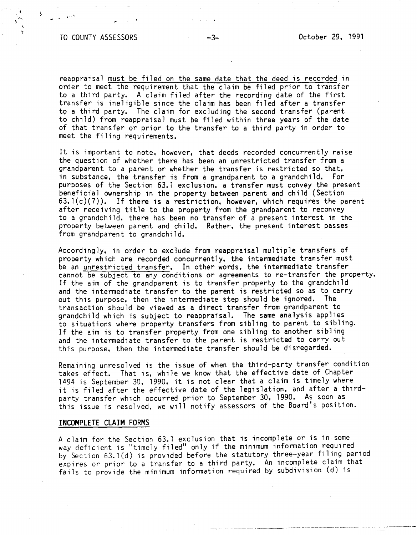## TO COUNTY ASSESSORS -3- October 29, 1991

 $\mathbf{r}^{A}$ 

--~-..,---- --~--------~~--~---.---.- --~ ~-

reappraisal must be filed on the same date that the deed is recorded in order to meet the requirement that the claim be filed prior to transfer to a third party. A claim filed after the recording date of the first transfer is ineligible since the claim has been filed after a transfer to a third party. The claim for excluding the second transfer (parent to child) from reappraisal must be filed within three years of the date of that transfer or prior to the transfer to a third party in order to meet the filing requirements.

It is important to note, however, that deeds recorded concurrently raise the question of whether there has been an unrestricted transfer from a grandparent to a parent or whether the transfer is restricted so that, in substance, the transfer is from a grandparent to a grandchild. For purposes of the Section 63. 1 exclusion, a transfer must convey the present beneficial ownership in the property between parent and child (Section  $63.1(c)(7)$ ). If there is a restriction, however, which requires the parent after receiving title to the property from the grandparent to reconvey to a grandchild, there has been no transfer of a present interest in the property between parent and child. Rather, the present interest passes from grandparent to grandchild.

Accordingly, in order to exclude from reappraisal multiple transfers of property which are recorded concurrently, the intermediate transfer must be an unrestricted transfer. In other words, the intermediate transfer cannot be subject to any conditions or agreements to re-transfer the property. If the aim of the grandparent is to transfer property to the grandchild and the intermediate transfer to the parent is restricted so as to carry out this purpose, then the intermediate step should be ignored. The transaction should be viewed as a direct transfer from grandparent to grandchild which is subject to reappraisal. The same analysis applies to situations where property transfers from sibling to parent to sibling. If the aim is to transfer property from one sibling to another sibling and the intermediate transfer to the parent is restricted to carry out this purpose, then the intermediate transfer should be disregarded.

Remaining unresolved is the issue of when the third-party transfer condition takes effect. That is, while we know that the effective date of Chapter 1494 is September 30, 1990, it is not clear that a claim is timely where it is filed after the effective date of the legislation, and after a thirdparty transfer which occurred prior to September 30, 1990. As soon as this issue is resolved, we will notify assessors of the Board's position.

#### **INCOMPLETE CLAIM FORMS**

A claim for the Section 63. 1 exclusion that is incomplete or is in some way deficient is "timely filed" only if the minimum information required by Section 63. l(d) is provided before the statutory three-year filing period expires or prior to a transfer to a third party. An incomplete claim that fails to provide the minimum information required by subdivision (d) is